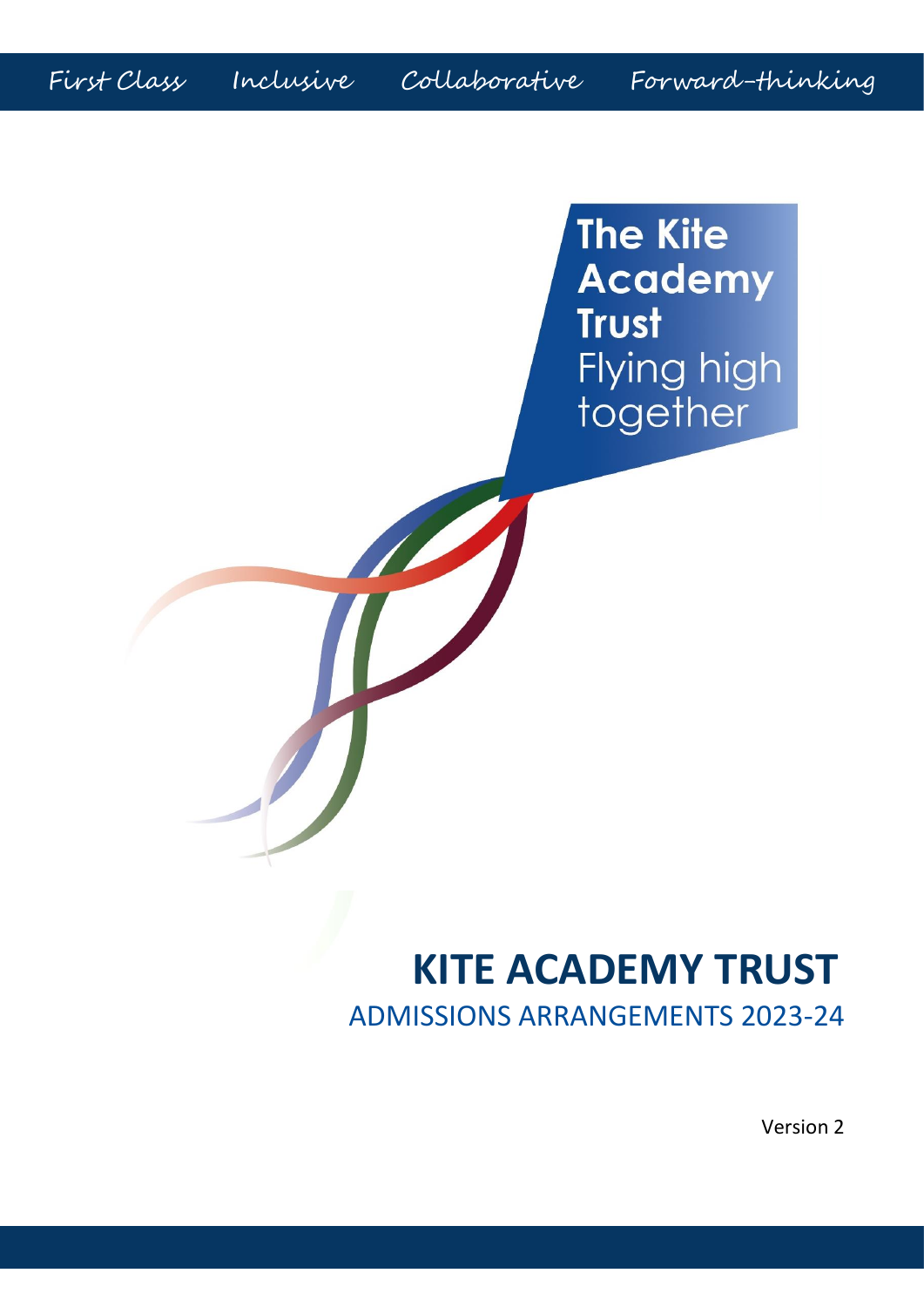First Class Inclusive Collaborative Forward-thinking

**The Kite Academy Trust** Flying high together

# **KITE ACADEMY TRUST** ADMISSIONS ARRANGEMENTS 2023-24

Version 2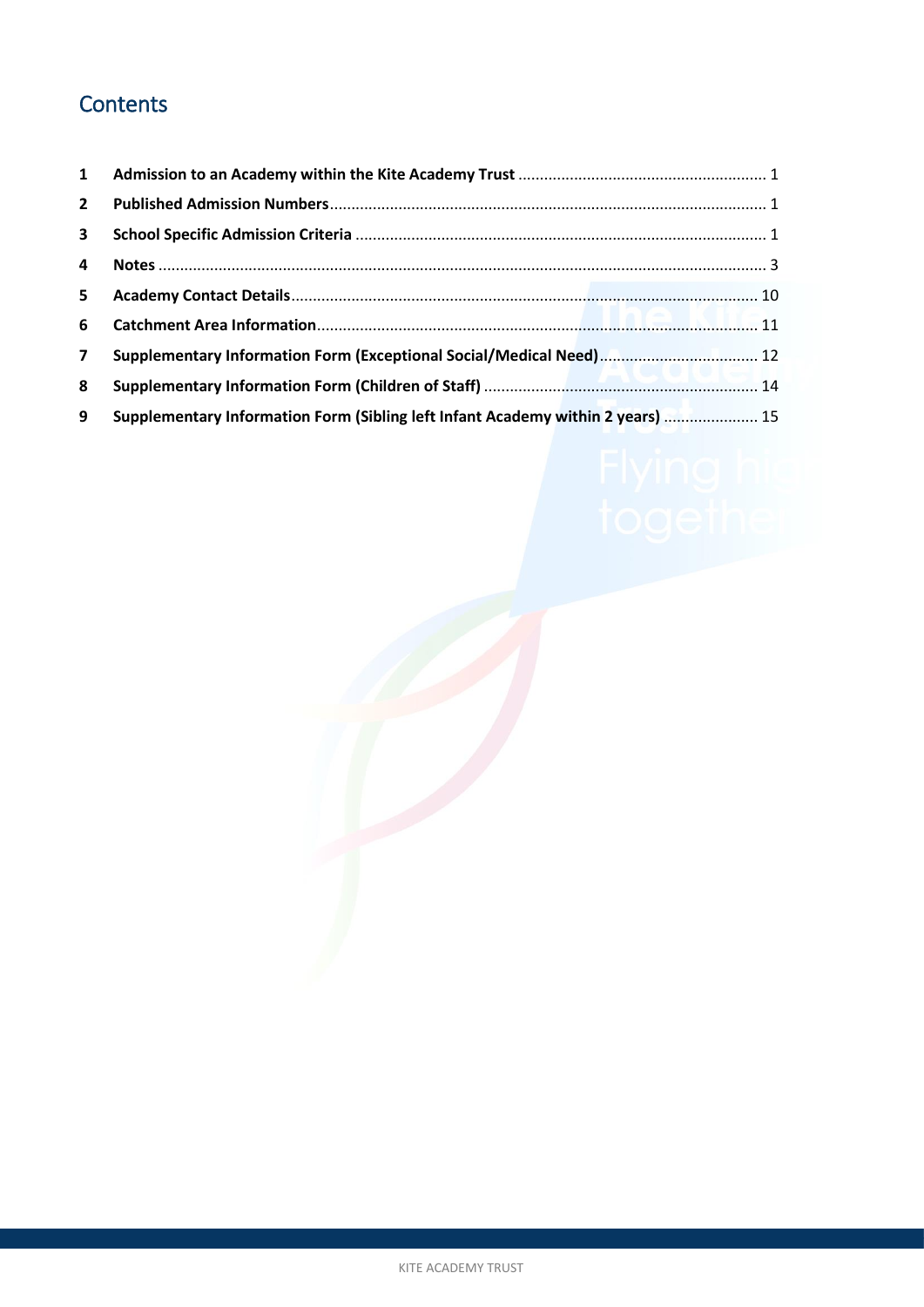# **Contents**

| $\mathbf{1}$   |                                                                                 |
|----------------|---------------------------------------------------------------------------------|
| $\mathbf{2}$   |                                                                                 |
| $\mathbf{3}$   |                                                                                 |
| 4              |                                                                                 |
| 5              |                                                                                 |
| 6              |                                                                                 |
| $\overline{7}$ |                                                                                 |
| 8              |                                                                                 |
| 9              | Supplementary Information Form (Sibling left Infant Academy within 2 years)  15 |

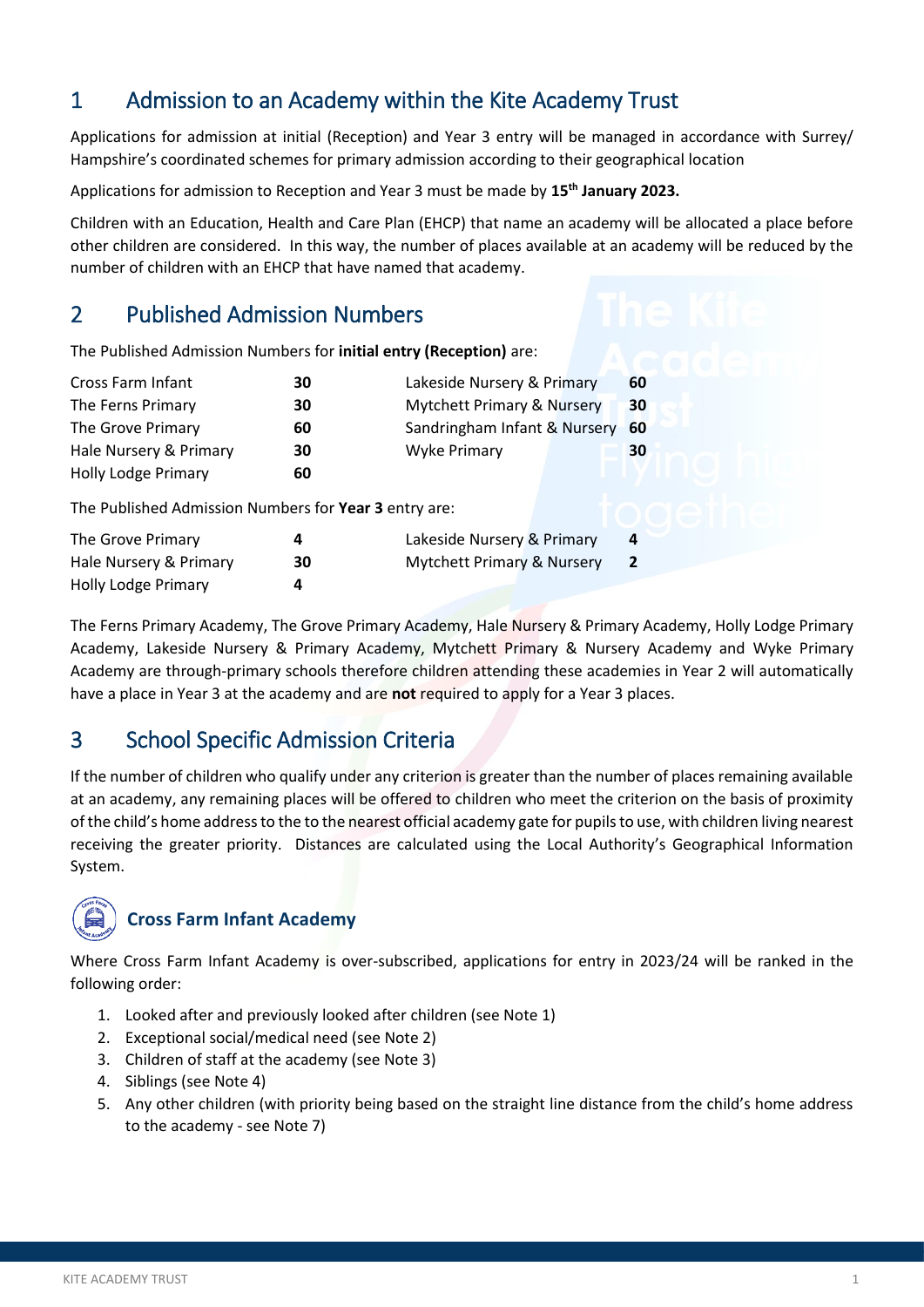# <span id="page-2-0"></span>1 Admission to an Academy within the Kite Academy Trust

Applications for admission at initial (Reception) and Year 3 entry will be managed in accordance with Surrey/ Hampshire's coordinated schemes for primary admission according to their geographical location

Applications for admission to Reception and Year 3 must be made by **15th January 2023.**

Children with an Education, Health and Care Plan (EHCP) that name an academy will be allocated a place before other children are considered. In this way, the number of places available at an academy will be reduced by the number of children with an EHCP that have named that academy.

# <span id="page-2-1"></span>2 Published Admission Numbers

| The Published Admission Numbers for initial entry (Reception) are: |    |                                       |  |                |  |
|--------------------------------------------------------------------|----|---------------------------------------|--|----------------|--|
| Cross Farm Infant                                                  | 30 | Lakeside Nursery & Primary            |  | 60             |  |
| The Ferns Primary                                                  | 30 | <b>Mytchett Primary &amp; Nursery</b> |  | 30             |  |
| The Grove Primary                                                  | 60 | Sandringham Infant & Nursery          |  | 60             |  |
| Hale Nursery & Primary                                             | 30 | Wyke Primary                          |  | 30             |  |
| <b>Holly Lodge Primary</b>                                         | 60 |                                       |  |                |  |
| The Published Admission Numbers for Year 3 entry are:              |    |                                       |  |                |  |
| The Grove Primary                                                  | 4  | Lakeside Nursery & Primary            |  | 4              |  |
| Hale Nursery & Primary                                             | 30 | Mytchett Primary & Nursery            |  | $\overline{2}$ |  |
| Holly Lodge Primary                                                | 4  |                                       |  |                |  |

The Ferns Primary Academy, The Grove Primary Academy, Hale Nursery & Primary Academy, Holly Lodge Primary Academy, Lakeside Nursery & Primary Academy, Mytchett Primary & Nursery Academy and Wyke Primary Academy are through-primary schools therefore children attending these academies in Year 2 will automatically have a place in Year 3 at the academy and are **not** required to apply for a Year 3 places.

# <span id="page-2-2"></span>3 School Specific Admission Criteria

If the number of children who qualify under any criterion is greater than the number of places remaining available at an academy, any remaining places will be offered to children who meet the criterion on the basis of proximity of the child's home addressto the to the nearest official academy gate for pupils to use, with children living nearest receiving the greater priority. Distances are calculated using the Local Authority's Geographical Information System.



# **Cross Farm Infant Academy**

Where Cross Farm Infant Academy is over-subscribed, applications for entry in 2023/24 will be ranked in the following order:

- 1. Looked after and previously looked after children (see Note 1)
- 2. Exceptional social/medical need (see Note 2)
- 3. Children of staff at the academy (see Note 3)
- 4. Siblings (see Note 4)
- 5. Any other children (with priority being based on the straight line distance from the child's home address to the academy - see Note 7)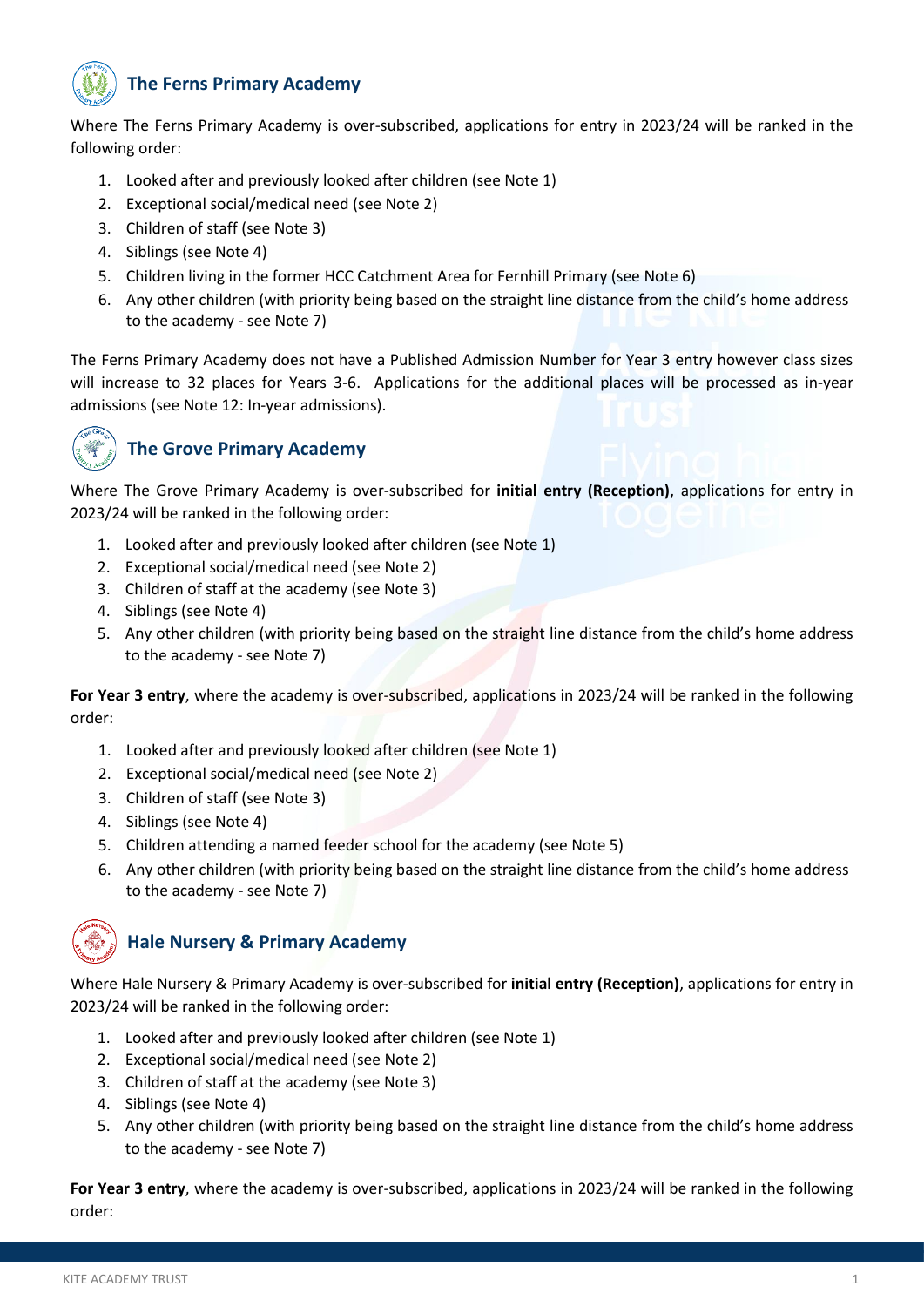# **The Ferns Primary Academy**

Where The Ferns Primary Academy is over-subscribed, applications for entry in 2023/24 will be ranked in the following order:

- 1. Looked after and previously looked after children (see Note 1)
- 2. Exceptional social/medical need (see Note 2)
- 3. Children of staff (see Note 3)
- 4. Siblings (see Note 4)
- 5. Children living in the former HCC Catchment Area for Fernhill Primary (see Note 6)
- 6. Any other children (with priority being based on the straight line distance from the child's home address to the academy - see Note 7)

The Ferns Primary Academy does not have a Published Admission Number for Year 3 entry however class sizes will increase to 32 places for Years 3-6. Applications for the additional places will be processed as in-year admissions (see Note 12: In-year admissions).



## **The Grove Primary Academy**

Where The Grove Primary Academy is over-subscribed for **initial entry (Reception)**, applications for entry in 2023/24 will be ranked in the following order:

- 1. Looked after and previously looked after children (see Note 1)
- 2. Exceptional social/medical need (see Note 2)
- 3. Children of staff at the academy (see Note 3)
- 4. Siblings (see Note 4)
- 5. Any other children (with priority being based on the straight line distance from the child's home address to the academy - see Note 7)

**For Year 3 entry**, where the academy is over-subscribed, applications in 2023/24 will be ranked in the following order:

- 1. Looked after and previously looked after children (see Note 1)
- 2. Exceptional social/medical need (see Note 2)
- 3. Children of staff (see Note 3)
- 4. Siblings (see Note 4)
- 5. Children attending a named feeder school for the academy (see Note 5)
- 6. Any other children (with priority being based on the straight line distance from the child's home address to the academy - see Note 7)

# **Hale Nursery & Primary Academy**

Where Hale Nursery & Primary Academy is over-subscribed for **initial entry (Reception)**, applications for entry in 2023/24 will be ranked in the following order:

- 1. Looked after and previously looked after children (see Note 1)
- 2. Exceptional social/medical need (see Note 2)
- 3. Children of staff at the academy (see Note 3)
- 4. Siblings (see Note 4)
- 5. Any other children (with priority being based on the straight line distance from the child's home address to the academy - see Note 7)

**For Year 3 entry**, where the academy is over-subscribed, applications in 2023/24 will be ranked in the following order: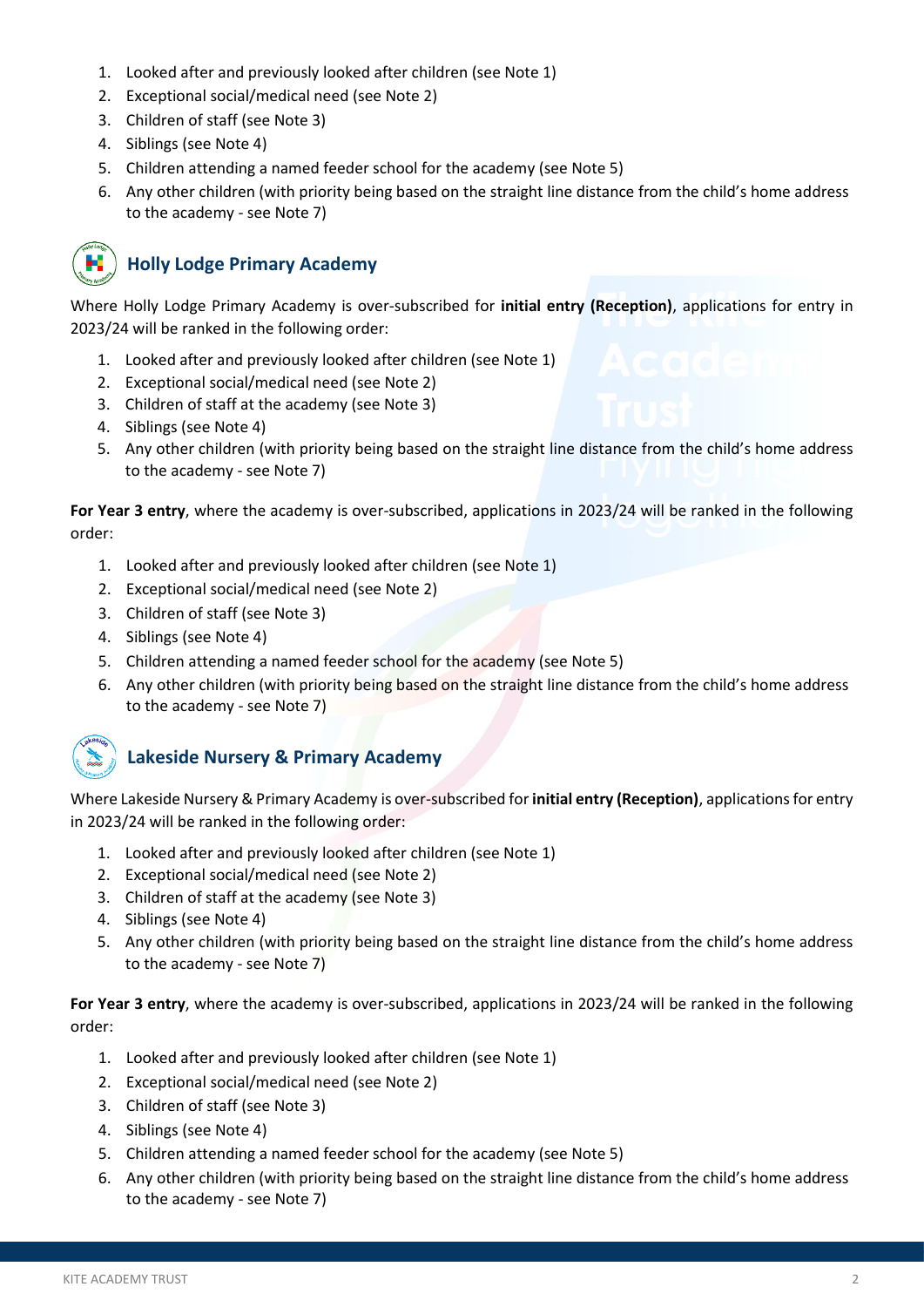- 1. Looked after and previously looked after children (see Note 1)
- 2. Exceptional social/medical need (see Note 2)
- 3. Children of staff (see Note 3)
- 4. Siblings (see Note 4)
- 5. Children attending a named feeder school for the academy (see Note 5)
- 6. Any other children (with priority being based on the straight line distance from the child's home address to the academy - see Note 7)



### **Holly Lodge Primary Academy**

Where Holly Lodge Primary Academy is over-subscribed for **initial entry (Reception)**, applications for entry in 2023/24 will be ranked in the following order:

- 1. Looked after and previously looked after children (see Note 1)
- 2. Exceptional social/medical need (see Note 2)
- 3. Children of staff at the academy (see Note 3)
- 4. Siblings (see Note 4)
- 5. Any other children (with priority being based on the straight line distance from the child's home address to the academy - see Note 7)

**For Year 3 entry**, where the academy is over-subscribed, applications in 2023/24 will be ranked in the following order:

- 1. Looked after and previously looked after children (see Note 1)
- 2. Exceptional social/medical need (see Note 2)
- 3. Children of staff (see Note 3)
- 4. Siblings (see Note 4)
- 5. Children attending a named feeder school for the academy (see Note 5)
- 6. Any other children (with priority being based on the straight line distance from the child's home address to the academy - see Note 7)



## **Lakeside Nursery & Primary Academy**

Where Lakeside Nursery & Primary Academy is over-subscribed for **initial entry (Reception)**, applicationsfor entry in 2023/24 will be ranked in the following order:

- 1. Looked after and previously looked after children (see Note 1)
- 2. Exceptional social/medical need (see Note 2)
- 3. Children of staff at the academy (see Note 3)
- 4. Siblings (see Note 4)
- 5. Any other children (with priority being based on the straight line distance from the child's home address to the academy - see Note 7)

**For Year 3 entry**, where the academy is over-subscribed, applications in 2023/24 will be ranked in the following order:

- 1. Looked after and previously looked after children (see Note 1)
- 2. Exceptional social/medical need (see Note 2)
- 3. Children of staff (see Note 3)
- 4. Siblings (see Note 4)
- 5. Children attending a named feeder school for the academy (see Note 5)
- 6. Any other children (with priority being based on the straight line distance from the child's home address to the academy - see Note 7)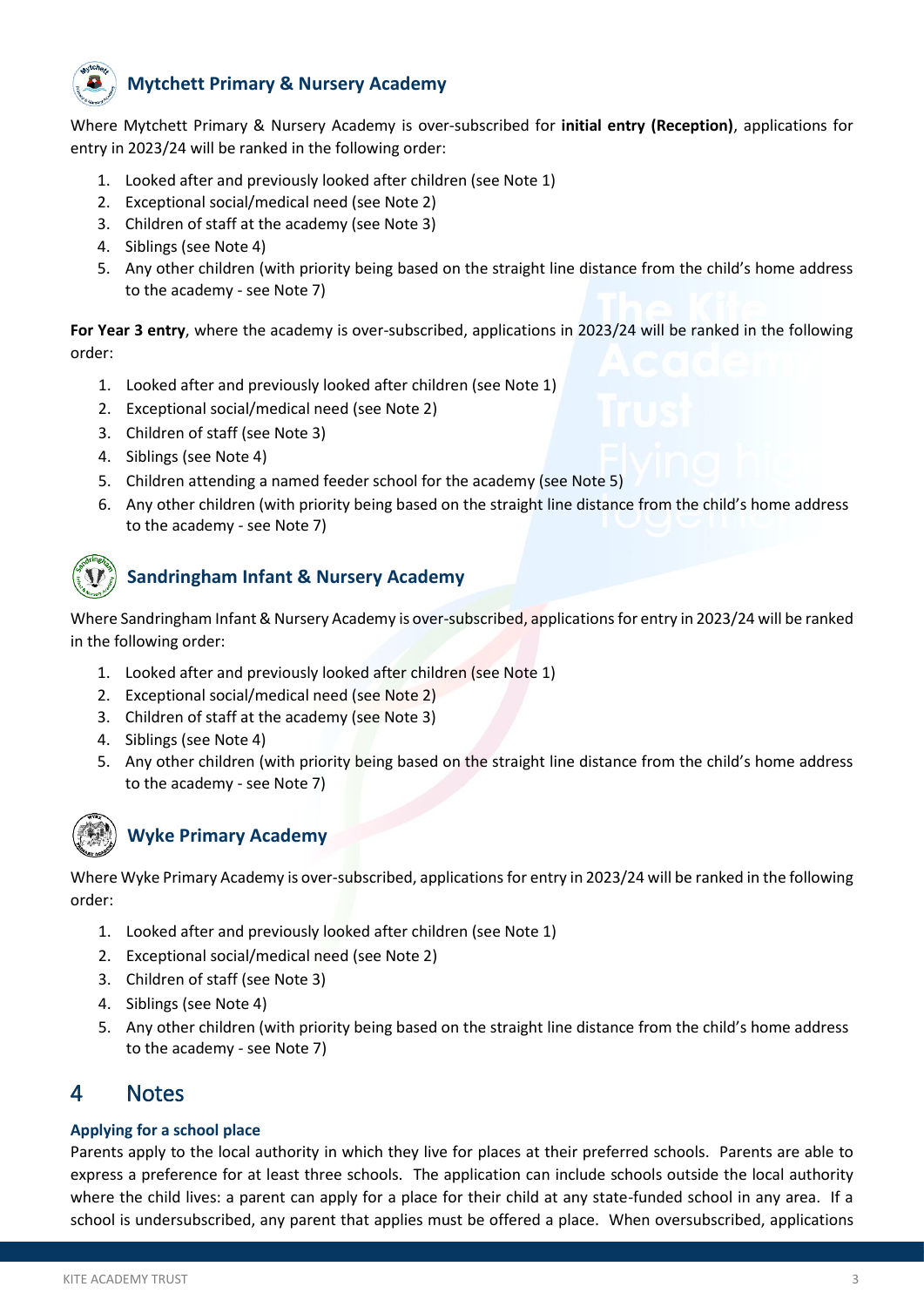

### **Mytchett Primary & Nursery Academy**

Where Mytchett Primary & Nursery Academy is over-subscribed for **initial entry (Reception)**, applications for entry in 2023/24 will be ranked in the following order:

- 1. Looked after and previously looked after children (see Note 1)
- 2. Exceptional social/medical need (see Note 2)
- 3. Children of staff at the academy (see Note 3)
- 4. Siblings (see Note 4)
- 5. Any other children (with priority being based on the straight line distance from the child's home address to the academy - see Note 7)

**For Year 3 entry**, where the academy is over-subscribed, applications in 2023/24 will be ranked in the following order:

- 1. Looked after and previously looked after children (see Note 1)
- 2. Exceptional social/medical need (see Note 2)
- 3. Children of staff (see Note 3)
- 4. Siblings (see Note 4)
- 5. Children attending a named feeder school for the academy (see Note 5)
- 6. Any other children (with priority being based on the straight line distance from the child's home address to the academy - see Note 7)

### **Sandringham Infant & Nursery Academy**

Where Sandringham Infant & Nursery Academy is over-subscribed, applications for entry in 2023/24 will be ranked in the following order:

- 1. Looked after and previously looked after children (see Note 1)
- 2. Exceptional social/medical need (see Note 2)
- 3. Children of staff at the academy (see Note 3)
- 4. Siblings (see Note 4)
- 5. Any other children (with priority being based on the straight line distance from the child's home address to the academy - see Note 7)



## **Wyke Primary Academy**

Where Wyke Primary Academy is over-subscribed, applications for entry in 2023/24 will be ranked in the following order:

- 1. Looked after and previously looked after children (see Note 1)
- 2. Exceptional social/medical need (see Note 2)
- 3. Children of staff (see Note 3)
- 4. Siblings (see Note 4)
- 5. Any other children (with priority being based on the straight line distance from the child's home address to the academy - see Note 7)

### <span id="page-5-0"></span>4 Notes

#### **Applying for a school place**

Parents apply to the local authority in which they live for places at their preferred schools. Parents are able to express a preference for at least three schools. The application can include schools outside the local authority where the child lives: a parent can apply for a place for their child at any state-funded school in any area. If a school is undersubscribed, any parent that applies must be offered a place. When oversubscribed, applications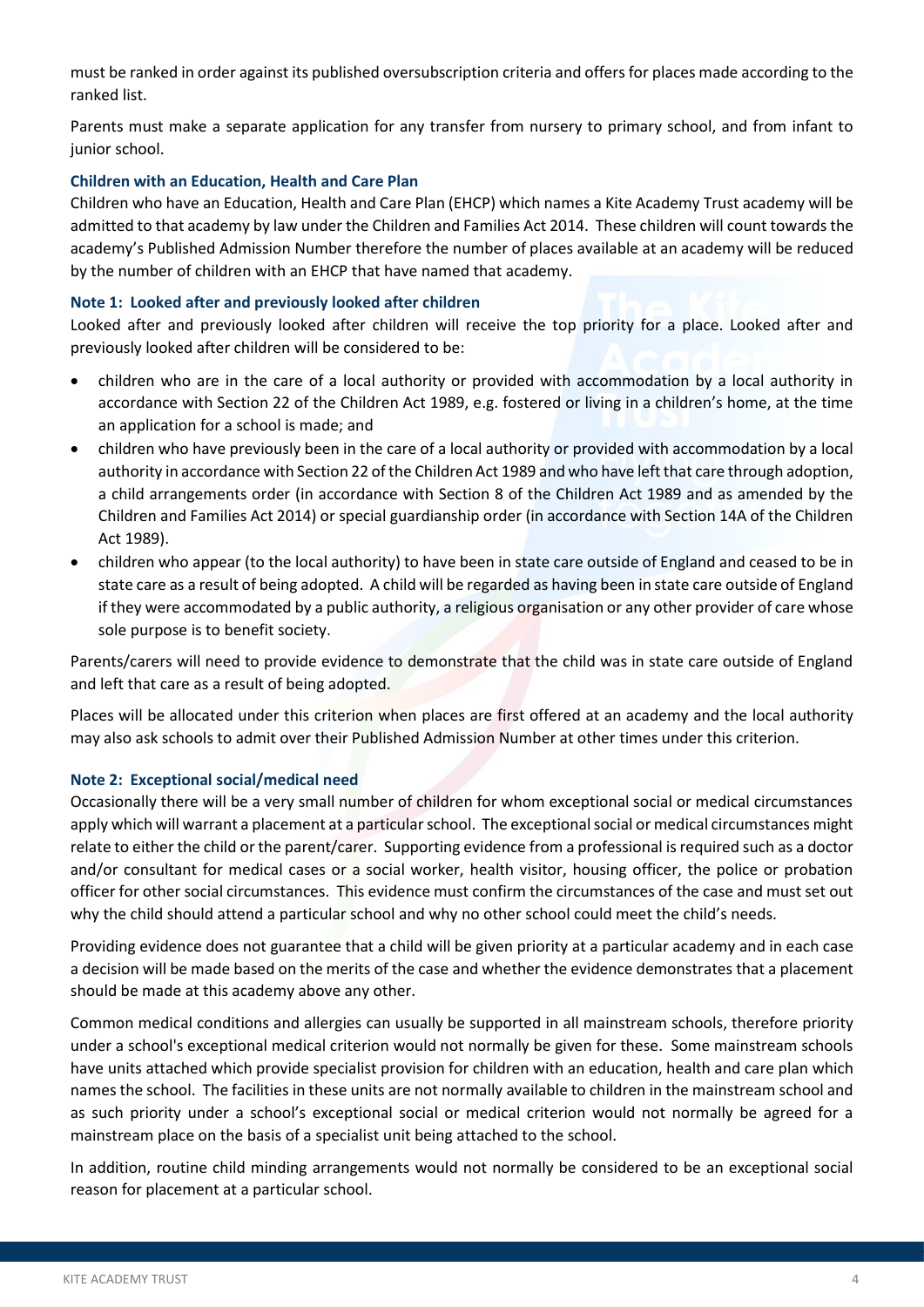must be ranked in order against its published oversubscription criteria and offers for places made according to the ranked list.

Parents must make a separate application for any transfer from nursery to primary school, and from infant to junior school.

#### **Children with an Education, Health and Care Plan**

Children who have an Education, Health and Care Plan (EHCP) which names a Kite Academy Trust academy will be admitted to that academy by law under the Children and Families Act 2014. These children will count towards the academy's Published Admission Number therefore the number of places available at an academy will be reduced by the number of children with an EHCP that have named that academy.

#### **Note 1: Looked after and previously looked after children**

Looked after and previously looked after children will receive the top priority for a place. Looked after and previously looked after children will be considered to be:

- children who are in the care of a local authority or provided with accommodation by a local authority in accordance with Section 22 of the Children Act 1989, e.g. fostered or living in a children's home, at the time an application for a school is made; and
- children who have previously been in the care of a local authority or provided with accommodation by a local authority in accordance with Section 22 of the Children Act 1989 and who have left that care through adoption, a child arrangements order (in accordance with Section 8 of the Children Act 1989 and as amended by the Children and Families Act 2014) or special guardianship order (in accordance with Section 14A of the Children Act 1989).
- children who appear (to the local authority) to have been in state care outside of England and ceased to be in state care as a result of being adopted. A child will be regarded as having been in state care outside of England if they were accommodated by a public authority, a religious organisation or any other provider of care whose sole purpose is to benefit society.

Parents/carers will need to provide evidence to demonstrate that the child was in state care outside of England and left that care as a result of being adopted.

Places will be allocated under this criterion when places are first offered at an academy and the local authority may also ask schools to admit over their Published Admission Number at other times under this criterion.

#### **Note 2: Exceptional social/medical need**

Occasionally there will be a very small number of children for whom exceptional social or medical circumstances apply which will warrant a placement at a particular school. The exceptional social or medical circumstances might relate to either the child or the parent/carer. Supporting evidence from a professional is required such as a doctor and/or consultant for medical cases or a social worker, health visitor, housing officer, the police or probation officer for other social circumstances. This evidence must confirm the circumstances of the case and must set out why the child should attend a particular school and why no other school could meet the child's needs.

Providing evidence does not guarantee that a child will be given priority at a particular academy and in each case a decision will be made based on the merits of the case and whether the evidence demonstrates that a placement should be made at this academy above any other.

Common medical conditions and allergies can usually be supported in all mainstream schools, therefore priority under a school's exceptional medical criterion would not normally be given for these. Some mainstream schools have units attached which provide specialist provision for children with an education, health and care plan which names the school. The facilities in these units are not normally available to children in the mainstream school and as such priority under a school's exceptional social or medical criterion would not normally be agreed for a mainstream place on the basis of a specialist unit being attached to the school.

In addition, routine child minding arrangements would not normally be considered to be an exceptional social reason for placement at a particular school.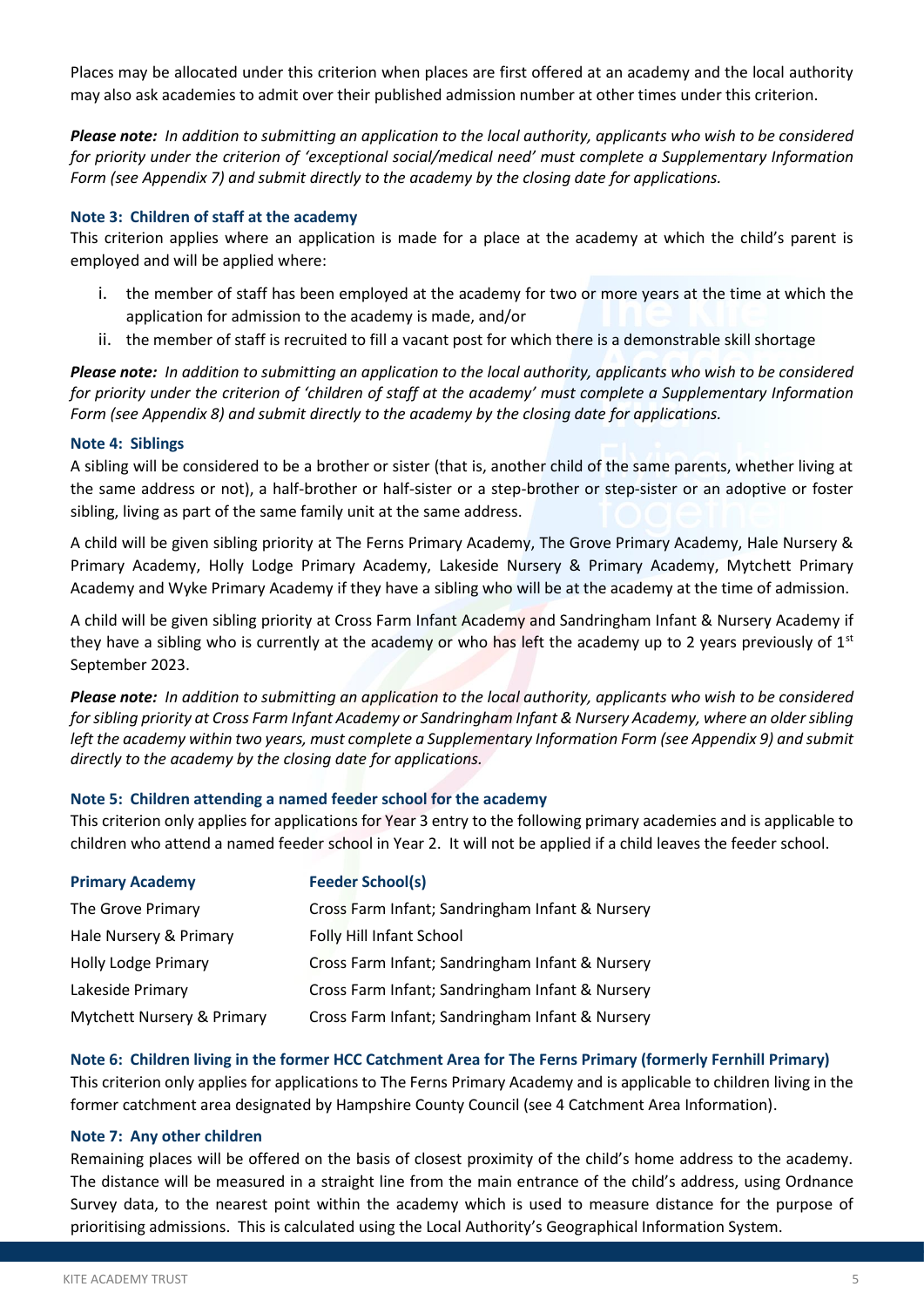Places may be allocated under this criterion when places are first offered at an academy and the local authority may also ask academies to admit over their published admission number at other times under this criterion.

*Please note: In addition to submitting an application to the local authority, applicants who wish to be considered for priority under the criterion of 'exceptional social/medical need' must complete a Supplementary Information Form (see Appendix 7) and submit directly to the academy by the closing date for applications.*

#### **Note 3: Children of staff at the academy**

This criterion applies where an application is made for a place at the academy at which the child's parent is employed and will be applied where:

- i. the member of staff has been employed at the academy for two or more years at the time at which the application for admission to the academy is made, and/or
- ii. the member of staff is recruited to fill a vacant post for which there is a demonstrable skill shortage

*Please note: In addition to submitting an application to the local authority, applicants who wish to be considered for priority under the criterion of 'children of staff at the academy' must complete a Supplementary Information Form (see Appendix 8) and submit directly to the academy by the closing date for applications.*

#### **Note 4: Siblings**

A sibling will be considered to be a brother or sister (that is, another child of the same parents, whether living at the same address or not), a half-brother or half-sister or a step-brother or step-sister or an adoptive or foster sibling, living as part of the same family unit at the same address.

A child will be given sibling priority at The Ferns Primary Academy, The Grove Primary Academy, Hale Nursery & Primary Academy, Holly Lodge Primary Academy, Lakeside Nursery & Primary Academy, Mytchett Primary Academy and Wyke Primary Academy if they have a sibling who will be at the academy at the time of admission.

A child will be given sibling priority at Cross Farm Infant Academy and Sandringham Infant & Nursery Academy if they have a sibling who is currently at the academy or who has left the academy up to 2 years previously of  $1<sup>st</sup>$ September 2023.

*Please note: In addition to submitting an application to the local authority, applicants who wish to be considered for sibling priority at Cross Farm Infant Academy or Sandringham Infant & Nursery Academy, where an older sibling left the academy within two years, must complete a Supplementary Information Form (see Appendix 9) and submit directly to the academy by the closing date for applications.*

#### **Note 5: Children attending a named feeder school for the academy**

This criterion only applies for applications for Year 3 entry to the following primary academies and is applicable to children who attend a named feeder school in Year 2. It will not be applied if a child leaves the feeder school.

| <b>Primary Academy</b>     | <b>Feeder School(s)</b>                         |
|----------------------------|-------------------------------------------------|
| The Grove Primary          | Cross Farm Infant; Sandringham Infant & Nursery |
| Hale Nursery & Primary     | Folly Hill Infant School                        |
| <b>Holly Lodge Primary</b> | Cross Farm Infant; Sandringham Infant & Nursery |
| Lakeside Primary           | Cross Farm Infant; Sandringham Infant & Nursery |
| Mytchett Nursery & Primary | Cross Farm Infant; Sandringham Infant & Nursery |

#### **Note 6: Children living in the former HCC Catchment Area for The Ferns Primary (formerly Fernhill Primary)**

This criterion only applies for applications to The Ferns Primary Academy and is applicable to children living in the former catchment area designated by Hampshire County Council (see 4 Catchment Area Information).

#### **Note 7: Any other children**

Remaining places will be offered on the basis of closest proximity of the child's home address to the academy. The distance will be measured in a straight line from the main entrance of the child's address, using Ordnance Survey data, to the nearest point within the academy which is used to measure distance for the purpose of prioritising admissions. This is calculated using the Local Authority's Geographical Information System.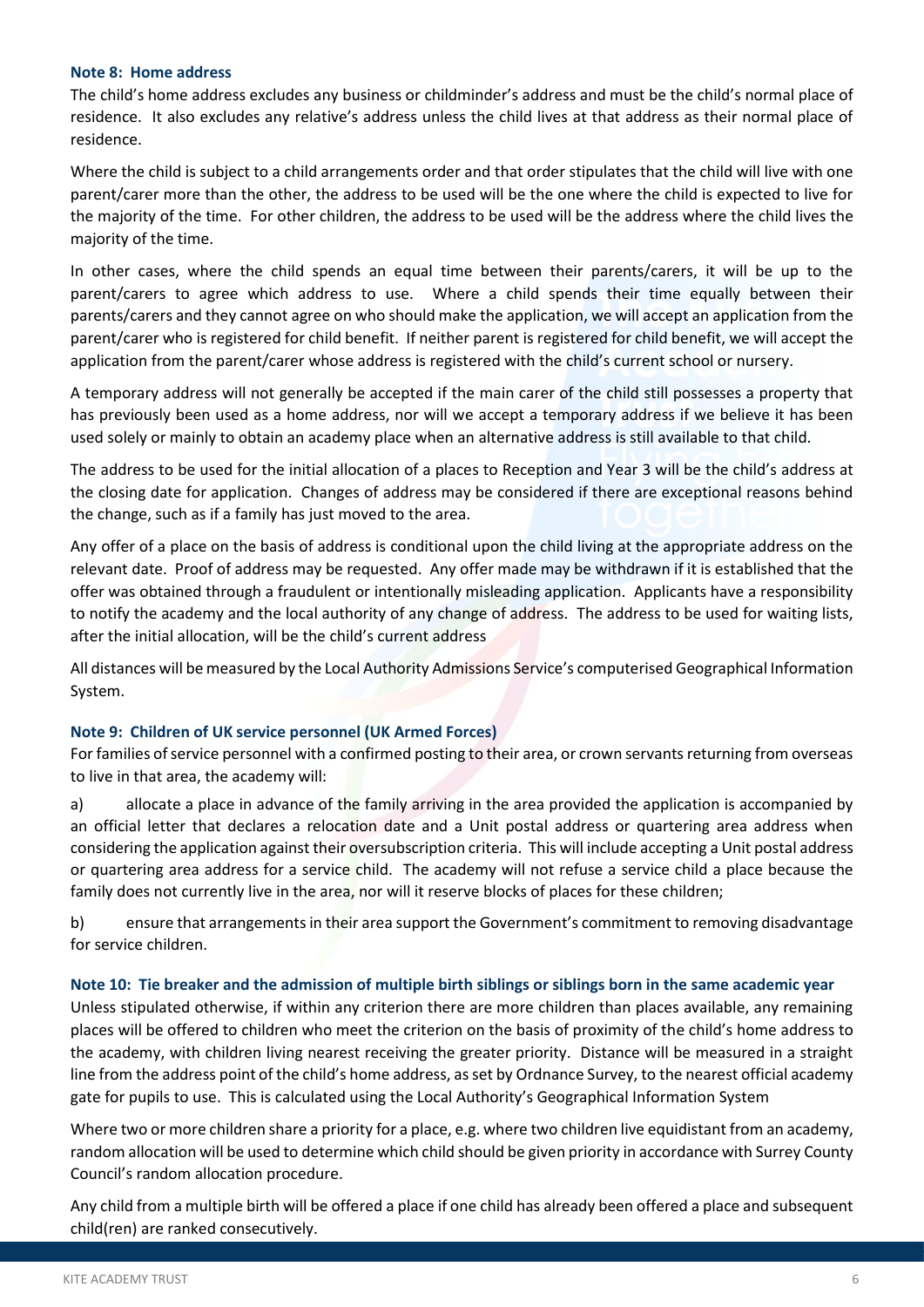#### **Note 8: Home address**

The child's home address excludes any business or childminder's address and must be the child's normal place of residence. It also excludes any relative's address unless the child lives at that address as their normal place of residence.

Where the child is subject to a child arrangements order and that order stipulates that the child will live with one parent/carer more than the other, the address to be used will be the one where the child is expected to live for the majority of the time. For other children, the address to be used will be the address where the child lives the majority of the time.

In other cases, where the child spends an equal time between their parents/carers, it will be up to the parent/carers to agree which address to use. Where a child spends their time equally between their parents/carers and they cannot agree on who should make the application, we will accept an application from the parent/carer who is registered for child benefit. If neither parent is registered for child benefit, we will accept the application from the parent/carer whose address is registered with the child's current school or nursery.

A temporary address will not generally be accepted if the main carer of the child still possesses a property that has previously been used as a home address, nor will we accept a temporary address if we believe it has been used solely or mainly to obtain an academy place when an alternative address is still available to that child.

The address to be used for the initial allocation of a places to Reception and Year 3 will be the child's address at the closing date for application. Changes of address may be considered if there are exceptional reasons behind the change, such as if a family has just moved to the area.

Any offer of a place on the basis of address is conditional upon the child living at the appropriate address on the relevant date. Proof of address may be requested. Any offer made may be withdrawn if it is established that the offer was obtained through a fraudulent or intentionally misleading application. Applicants have a responsibility to notify the academy and the local authority of any change of address. The address to be used for waiting lists, after the initial allocation, will be the child's current address

All distances will be measured by the Local Authority Admissions Service's computerised Geographical Information System.

#### **Note 9: Children of UK service personnel (UK Armed Forces)**

For families of service personnel with a confirmed posting to their area, or crown servants returning from overseas to live in that area, the academy will:

a) allocate a place in advance of the family arriving in the area provided the application is accompanied by an official letter that declares a relocation date and a Unit postal address or quartering area address when considering the application against their oversubscription criteria. This will include accepting a Unit postal address or quartering area address for a service child. The academy will not refuse a service child a place because the family does not currently live in the area, nor will it reserve blocks of places for these children;

b) ensure that arrangements in their area support the Government's commitment to removing disadvantage for service children.

#### **Note 10: Tie breaker and the admission of multiple birth siblings or siblings born in the same academic year**

Unless stipulated otherwise, if within any criterion there are more children than places available, any remaining places will be offered to children who meet the criterion on the basis of proximity of the child's home address to the academy, with children living nearest receiving the greater priority. Distance will be measured in a straight line from the address point of the child's home address, as set by Ordnance Survey, to the nearest official academy gate for pupils to use. This is calculated using the Local Authority's Geographical Information System

Where two or more children share a priority for a place, e.g. where two children live equidistant from an academy, random allocation will be used to determine which child should be given priority in accordance with Surrey County Council's random allocation procedure.

Any child from a multiple birth will be offered a place if one child has already been offered a place and subsequent child(ren) are ranked consecutively.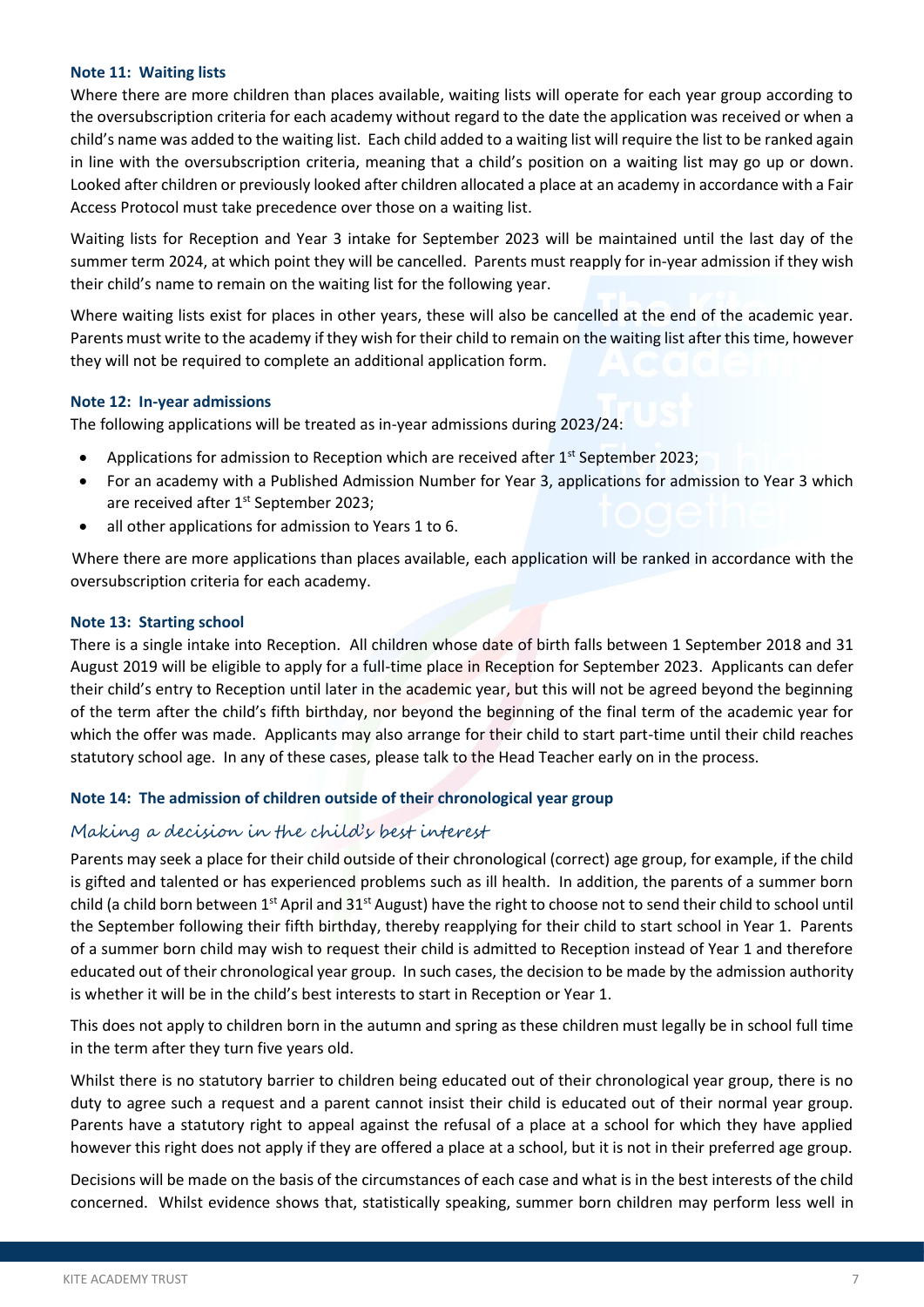#### **Note 11: Waiting lists**

Where there are more children than places available, waiting lists will operate for each year group according to the oversubscription criteria for each academy without regard to the date the application was received or when a child's name was added to the waiting list. Each child added to a waiting list will require the list to be ranked again in line with the oversubscription criteria, meaning that a child's position on a waiting list may go up or down. Looked after children or previously looked after children allocated a place at an academy in accordance with a Fair Access Protocol must take precedence over those on a waiting list.

Waiting lists for Reception and Year 3 intake for September 2023 will be maintained until the last day of the summer term 2024, at which point they will be cancelled. Parents must reapply for in-year admission if they wish their child's name to remain on the waiting list for the following year.

Where waiting lists exist for places in other years, these will also be cancelled at the end of the academic year. Parents must write to the academy if they wish for their child to remain on the waiting list after this time, however they will not be required to complete an additional application form.

#### **Note 12: In-year admissions**

The following applications will be treated as in-year admissions during 2023/24:

- Applications for admission to Reception which are received after 1<sup>st</sup> September 2023;
- For an academy with a Published Admission Number for Year 3, applications for admission to Year 3 which are received after 1<sup>st</sup> September 2023;
- all other applications for admission to Years 1 to 6.

Where there are more applications than places available, each application will be ranked in accordance with the oversubscription criteria for each academy.

#### **Note 13: Starting school**

There is a single intake into Reception. All children whose date of birth falls between 1 September 2018 and 31 August 2019 will be eligible to apply for a full-time place in Reception for September 2023. Applicants can defer their child's entry to Reception until later in the academic year, but this will not be agreed beyond the beginning of the term after the child's fifth birthday, nor beyond the beginning of the final term of the academic year for which the offer was made. Applicants may also arrange for their child to start part-time until their child reaches statutory school age. In any of these cases, please talk to the Head Teacher early on in the process.

#### **Note 14: The admission of children outside of their chronological year group**

#### Making a decision in the child's best interest

Parents may seek a place for their child outside of their chronological (correct) age group, for example, if the child is gifted and talented or has experienced problems such as ill health. In addition, the parents of a summer born child (a child born between 1<sup>st</sup> April and 31<sup>st</sup> August) have the right to choose not to send their child to school until the September following their fifth birthday, thereby reapplying for their child to start school in Year 1. Parents of a summer born child may wish to request their child is admitted to Reception instead of Year 1 and therefore educated out of their chronological year group. In such cases, the decision to be made by the admission authority is whether it will be in the child's best interests to start in Reception or Year 1.

This does not apply to children born in the autumn and spring as these children must legally be in school full time in the term after they turn five years old.

Whilst there is no statutory barrier to children being educated out of their chronological year group, there is no duty to agree such a request and a parent cannot insist their child is educated out of their normal year group. Parents have a statutory right to appeal against the refusal of a place at a school for which they have applied however this right does not apply if they are offered a place at a school, but it is not in their preferred age group.

Decisions will be made on the basis of the circumstances of each case and what is in the best interests of the child concerned. Whilst evidence shows that, statistically speaking, summer born children may perform less well in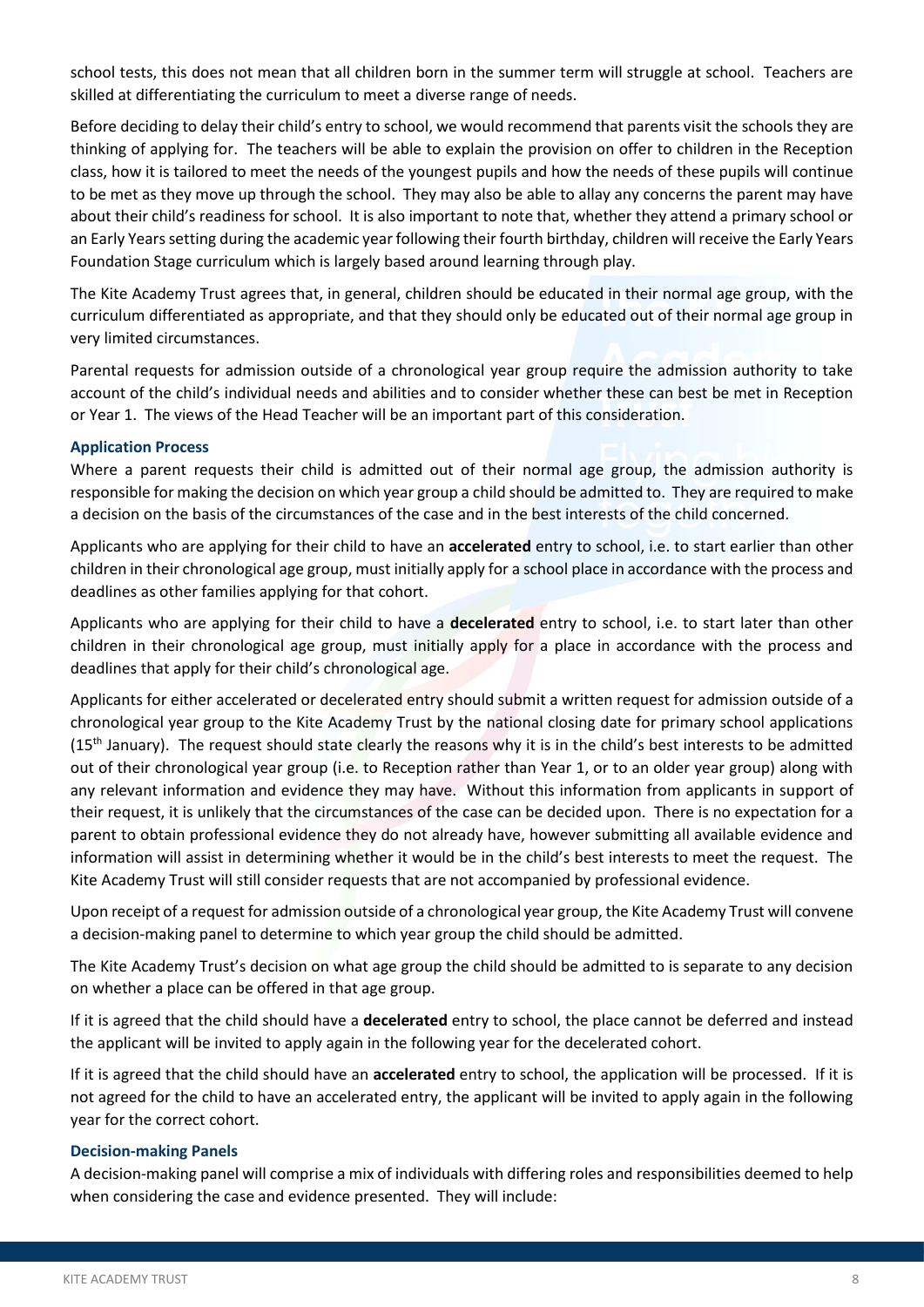school tests, this does not mean that all children born in the summer term will struggle at school. Teachers are skilled at differentiating the curriculum to meet a diverse range of needs.

Before deciding to delay their child's entry to school, we would recommend that parents visit the schools they are thinking of applying for. The teachers will be able to explain the provision on offer to children in the Reception class, how it is tailored to meet the needs of the youngest pupils and how the needs of these pupils will continue to be met as they move up through the school. They may also be able to allay any concerns the parent may have about their child's readiness for school. It is also important to note that, whether they attend a primary school or an Early Years setting during the academic year following their fourth birthday, children will receive the Early Years Foundation Stage curriculum which is largely based around learning through play.

The Kite Academy Trust agrees that, in general, children should be educated in their normal age group, with the curriculum differentiated as appropriate, and that they should only be educated out of their normal age group in very limited circumstances.

Parental requests for admission outside of a chronological year group require the admission authority to take account of the child's individual needs and abilities and to consider whether these can best be met in Reception or Year 1. The views of the Head Teacher will be an important part of this consideration.

#### **Application Process**

Where a parent requests their child is admitted out of their normal age group, the admission authority is responsible for making the decision on which year group a child should be admitted to. They are required to make a decision on the basis of the circumstances of the case and in the best interests of the child concerned.

Applicants who are applying for their child to have an **accelerated** entry to school, i.e. to start earlier than other children in their chronological age group, must initially apply for a school place in accordance with the process and deadlines as other families applying for that cohort.

Applicants who are applying for their child to have a **decelerated** entry to school, i.e. to start later than other children in their chronological age group, must initially apply for a place in accordance with the process and deadlines that apply for their child's chronological age.

Applicants for either accelerated or decelerated entry should submit a written request for admission outside of a chronological year group to the Kite Academy Trust by the national closing date for primary school applications (15<sup>th</sup> January). The request should state clearly the reasons why it is in the child's best interests to be admitted out of their chronological year group (i.e. to Reception rather than Year 1, or to an older year group) along with any relevant information and evidence they may have. Without this information from applicants in support of their request, it is unlikely that the circumstances of the case can be decided upon. There is no expectation for a parent to obtain professional evidence they do not already have, however submitting all available evidence and information will assist in determining whether it would be in the child's best interests to meet the request. The Kite Academy Trust will still consider requests that are not accompanied by professional evidence.

Upon receipt of a request for admission outside of a chronological year group, the Kite Academy Trust will convene a decision-making panel to determine to which year group the child should be admitted.

The Kite Academy Trust's decision on what age group the child should be admitted to is separate to any decision on whether a place can be offered in that age group.

If it is agreed that the child should have a **decelerated** entry to school, the place cannot be deferred and instead the applicant will be invited to apply again in the following year for the decelerated cohort.

If it is agreed that the child should have an **accelerated** entry to school, the application will be processed. If it is not agreed for the child to have an accelerated entry, the applicant will be invited to apply again in the following year for the correct cohort.

#### **Decision-making Panels**

A decision-making panel will comprise a mix of individuals with differing roles and responsibilities deemed to help when considering the case and evidence presented. They will include: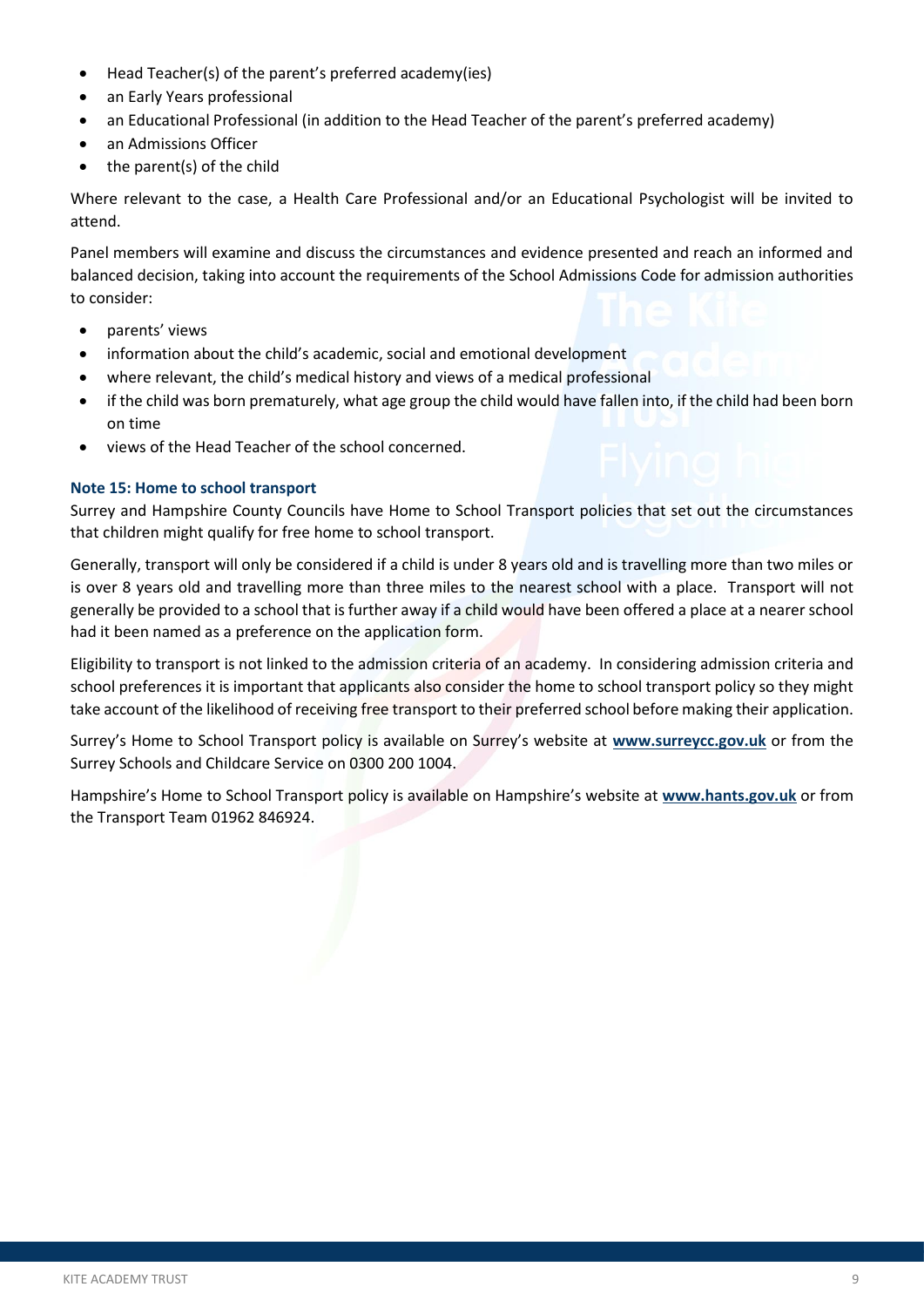- Head Teacher(s) of the parent's preferred academy(ies)
- an Early Years professional
- an Educational Professional (in addition to the Head Teacher of the parent's preferred academy)
- an Admissions Officer
- the parent(s) of the child

Where relevant to the case, a Health Care Professional and/or an Educational Psychologist will be invited to attend.

Panel members will examine and discuss the circumstances and evidence presented and reach an informed and balanced decision, taking into account the requirements of the School Admissions Code for admission authorities to consider:

- parents' views
- information about the child's academic, social and emotional development
- where relevant, the child's medical history and views of a medical professional
- if the child was born prematurely, what age group the child would have fallen into, if the child had been born on time
- views of the Head Teacher of the school concerned.

#### **Note 15: Home to school transport**

Surrey and Hampshire County Councils have Home to School Transport policies that set out the circumstances that children might qualify for free home to school transport.

Generally, transport will only be considered if a child is under 8 years old and is travelling more than two miles or is over 8 years old and travelling more than three miles to the nearest school with a place. Transport will not generally be provided to a school that is further away if a child would have been offered a place at a nearer school had it been named as a preference on the application form.

Eligibility to transport is not linked to the admission criteria of an academy. In considering admission criteria and school preferences it is important that applicants also consider the home to school transport policy so they might take account of the likelihood of receiving free transport to their preferred school before making their application.

Surrey's Home to School Transport policy is available on Surrey's website at **[www.surreycc.gov.uk](http://www.surreycc.gov.uk/)** or from the Surrey Schools and Childcare Service on 0300 200 1004.

Hampshire's Home to School Transport policy is available on Hampshire's website at **[www.hants.gov.uk](http://www.hants.gov.uk/)** or from the Transport Team 01962 846924.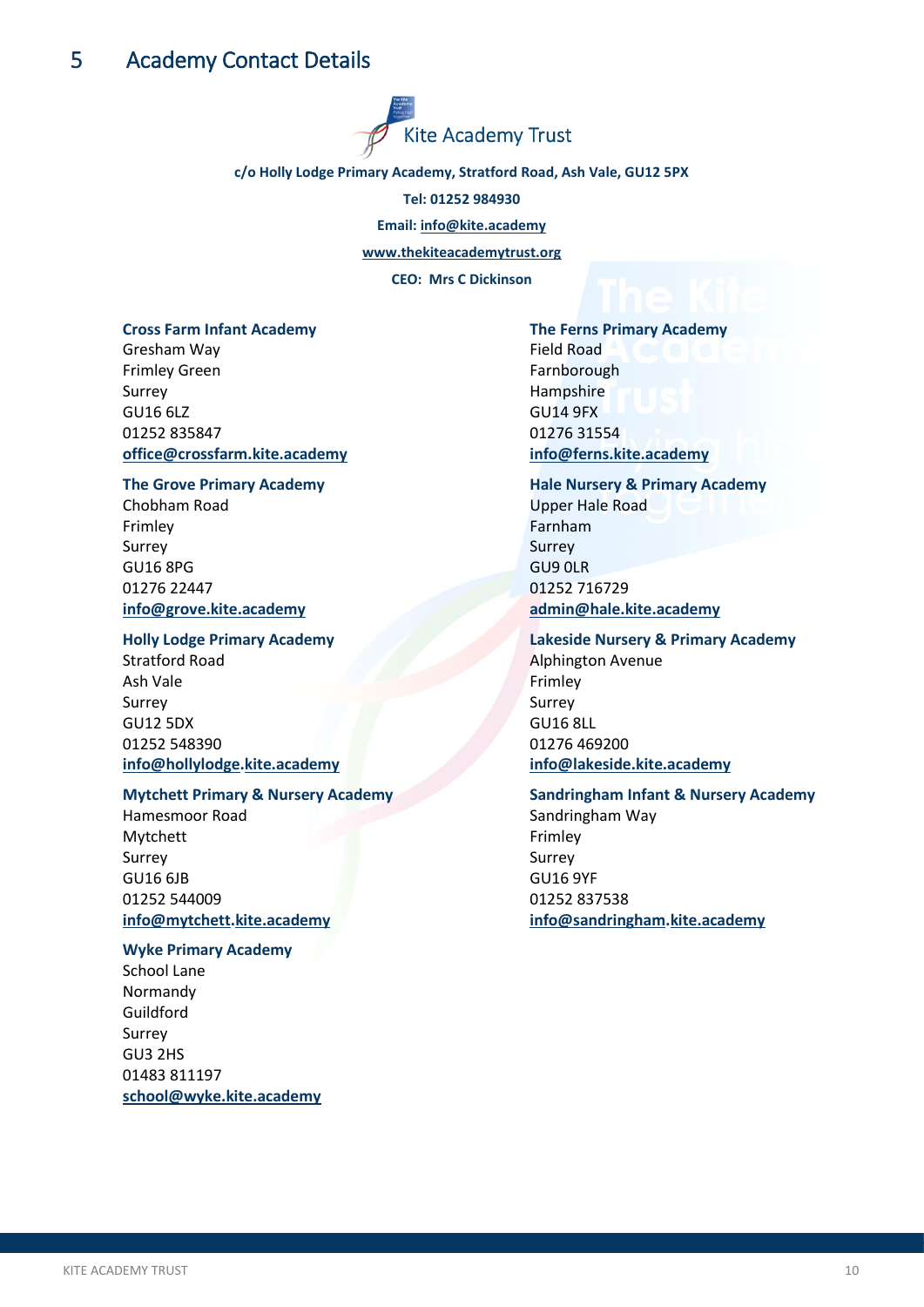

#### <span id="page-12-0"></span>**c/o Holly Lodge Primary Academy, Stratford Road, Ash Vale, GU12 5PX**

**Tel: 01252 984930**

**Email: [info@kite.academy](mailto:info@kite.academy)**

**[www.thekiteacademytrust.org](https://kiteacademy-my.sharepoint.com/personal/nicola_macbeth_kite_academy/Documents/Policies/Family%20&%20Communities/www.thekiteacademytrust.org)**

**CEO: Mrs C Dickinson**

#### **Cross Farm Infant Academy**

Gresham Way Frimley Green Surrey GU16 6LZ 01252 835847 **[office@crossfarm.k](mailto:office@crossfarm.)ite.academy**

#### **The Grove Primary Academy**

Chobham Road Frimley Surrey GU16 8PG 01276 22447 **[info@grove.kite.academy](mailto:info@grove.kite.academy)**

#### **Holly Lodge Primary Academy**

Stratford Road Ash Vale Surrey GU12 5DX 01252 548390 **[info@hollylodge.](mailto:info@hollylodge)kite.academy**

#### **Mytchett Primary & Nursery Academy**

Hamesmoor Road Mytchett Surrey GU16 6JB 01252 544009 **[info@mytchett.](mailto:info@mytchett)kite.academy**

**Wyke Primary Academy** School Lane Normandy Guildford Surrey GU3 2HS 01483 811197 **[school@wyke.kite.academy](mailto:school@wyke.kite.academy)**

### **The Ferns Primary Academy** Field Road Farnborough Hampshire GU14 9FX 01276 31554 **[info@ferns.kite.academy](mailto:info@ferns.kite.academy)**

### **Hale Nursery & Primary Academy** Upper Hale Road

Farnham Surrey GU9 0LR 01252 716729 **[admin@hale.kite.academy](mailto:admin@hale.kite.academy)**

#### **Lakeside Nursery & Primary Academy**

Alphington Avenue Frimley Surrey GU16 8LL 01276 469200 **[info@lakeside.kite.academy](mailto:info@lakeside.kite.academy)**

### **Sandringham Infant & Nursery Academy** Sandringham Way Frimley Surrey GU16 9YF 01252 837538

**[info@sandringham.](mailto:info@sandringham)kite.academy**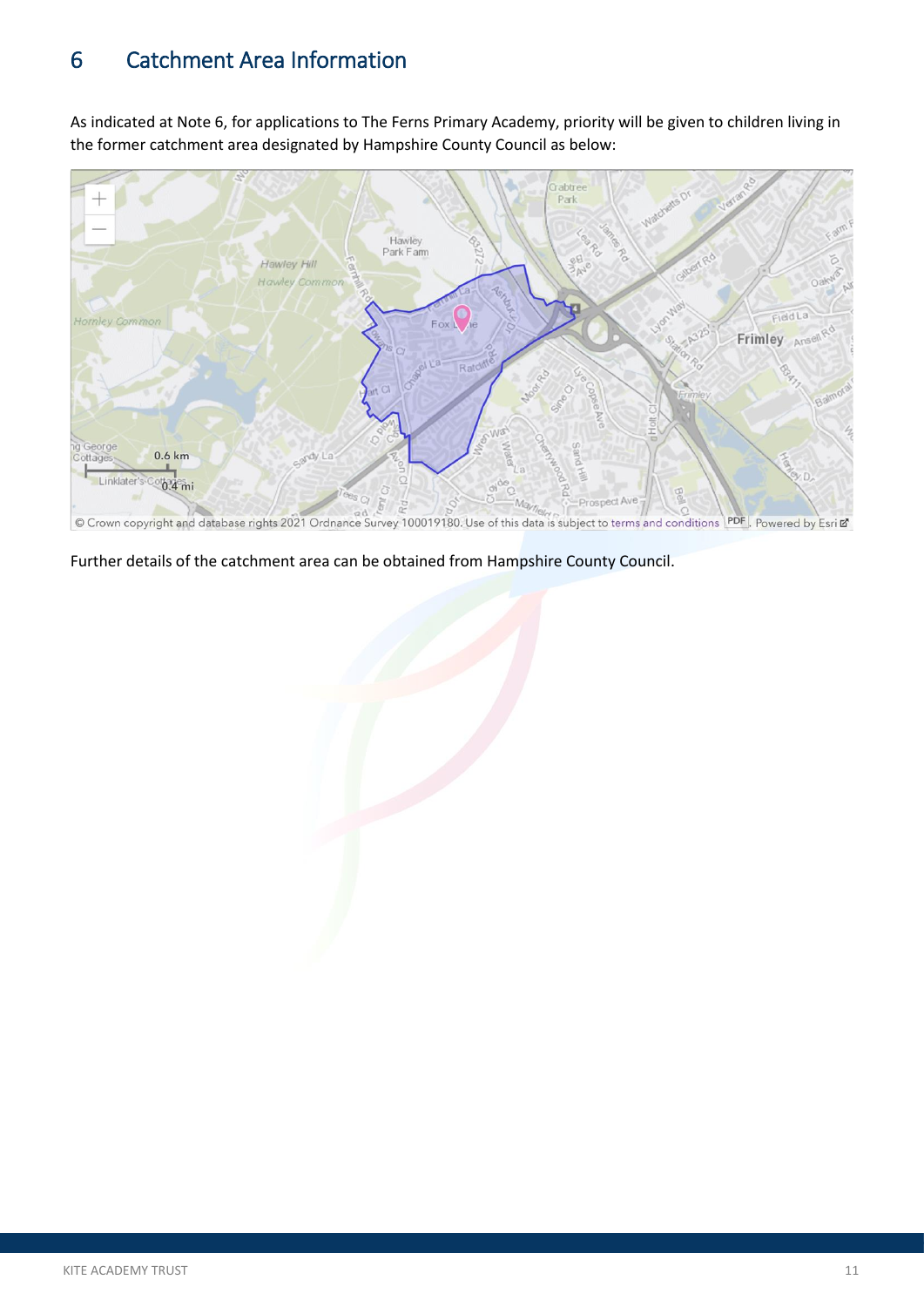# <span id="page-13-0"></span>6 Catchment Area Information

As indicated at Note 6, for applications to The Ferns Primary Academy, priority will be given to children living in the former catchment area designated by Hampshire County Council as below:



© Crown copyright and database rights 2021 Ordnance Survey 100019180. Use of this data is subject to terms and conditions PDF Powered by Esri E

Further details of the catchment area can be obtained from Hampshire County Council.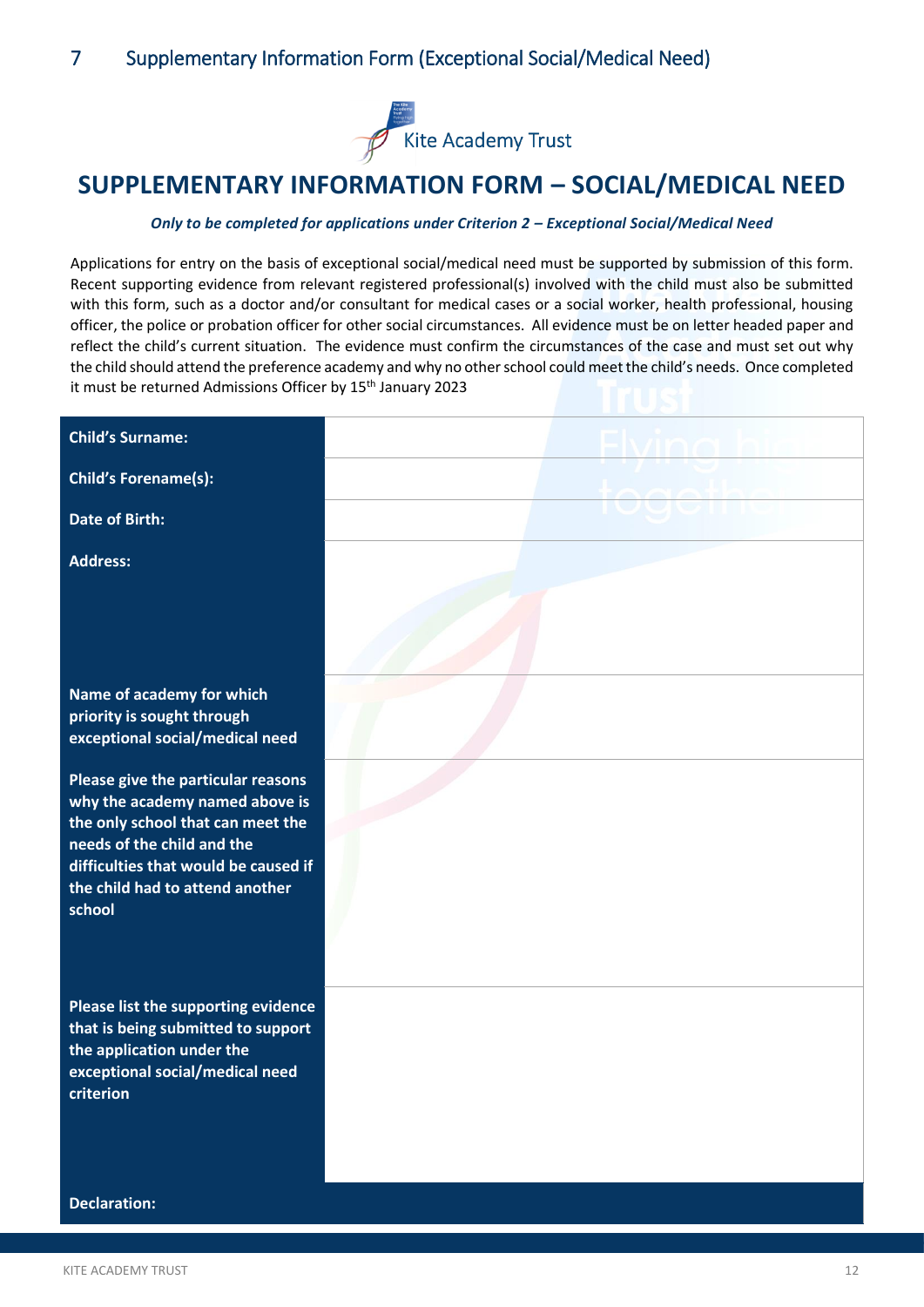

# <span id="page-14-0"></span>**SUPPLEMENTARY INFORMATION FORM – SOCIAL/MEDICAL NEED**

#### *Only to be completed for applications under Criterion 2 – Exceptional Social/Medical Need*

Applications for entry on the basis of exceptional social/medical need must be supported by submission of this form. Recent supporting evidence from relevant registered professional(s) involved with the child must also be submitted with this form, such as a doctor and/or consultant for medical cases or a social worker, health professional, housing officer, the police or probation officer for other social circumstances. All evidence must be on letter headed paper and reflect the child's current situation. The evidence must confirm the circumstances of the case and must set out why the child should attend the preference academy and why no other school could meet the child's needs. Once completed it must be returned Admissions Officer by 15<sup>th</sup> January 2023

| <b>Child's Surname:</b>                                                                                                                                                                                                      |  |
|------------------------------------------------------------------------------------------------------------------------------------------------------------------------------------------------------------------------------|--|
| <b>Child's Forename(s):</b>                                                                                                                                                                                                  |  |
| <b>Date of Birth:</b>                                                                                                                                                                                                        |  |
| <b>Address:</b>                                                                                                                                                                                                              |  |
|                                                                                                                                                                                                                              |  |
| Name of academy for which<br>priority is sought through<br>exceptional social/medical need                                                                                                                                   |  |
| Please give the particular reasons<br>why the academy named above is<br>the only school that can meet the<br>needs of the child and the<br>difficulties that would be caused if<br>the child had to attend another<br>school |  |
| Please list the supporting evidence<br>that is being submitted to support<br>the application under the<br>exceptional social/medical need<br>criterion                                                                       |  |
| <b>Declaration:</b>                                                                                                                                                                                                          |  |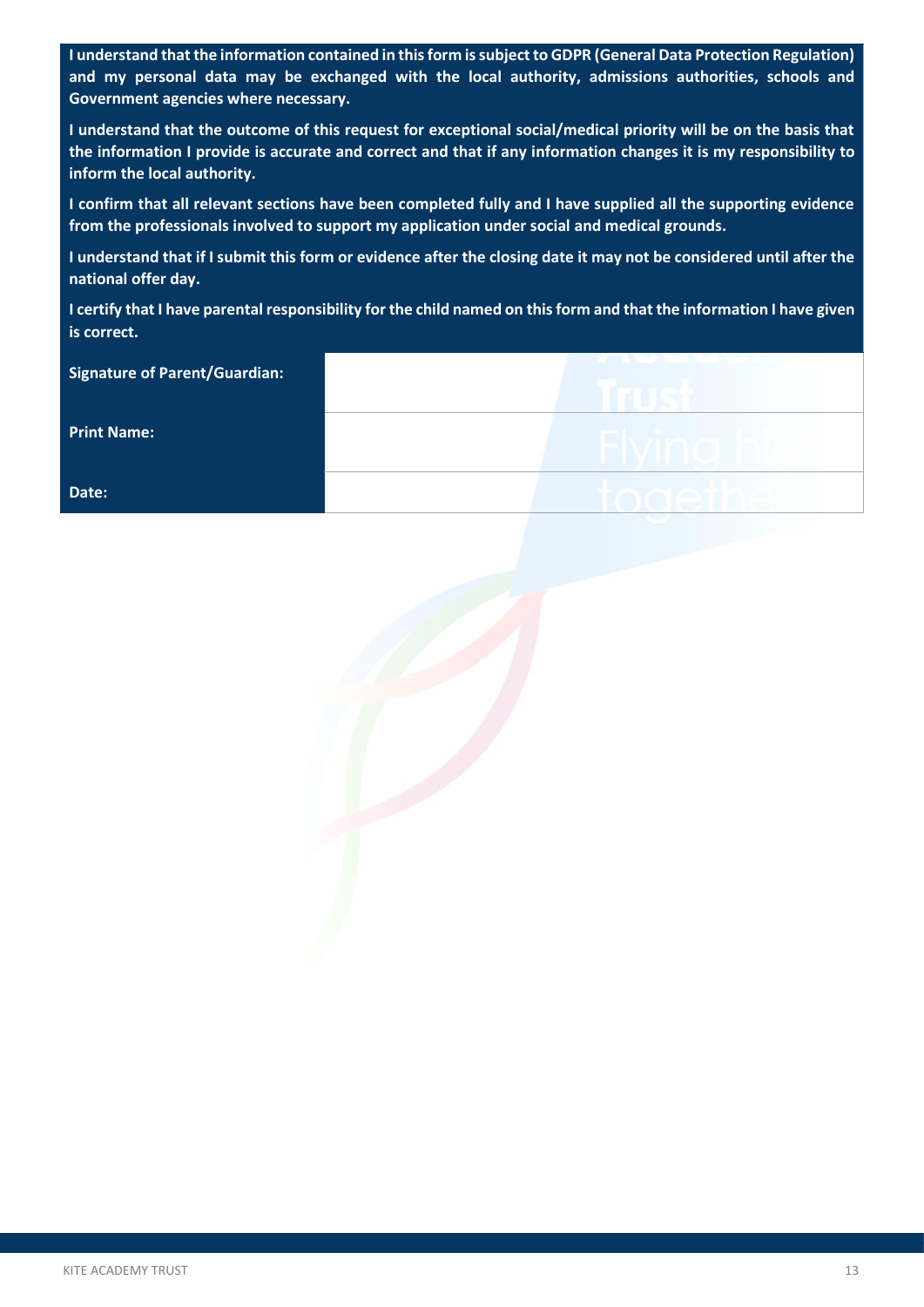**I understand that the information contained in this form is subject to GDPR (General Data Protection Regulation) and my personal data may be exchanged with the local authority, admissions authorities, schools and Government agencies where necessary.** 

**I understand that the outcome of this request for exceptional social/medical priority will be on the basis that the information I provide is accurate and correct and that if any information changes it is my responsibility to inform the local authority.** 

**I confirm that all relevant sections have been completed fully and I have supplied all the supporting evidence from the professionals involved to support my application under social and medical grounds.** 

**I understand that if I submit this form or evidence after the closing date it may not be considered until after the national offer day.** 

**I certify that I have parental responsibility for the child named on this form and that the information I have given is correct.**

| <b>Signature of Parent/Guardian:</b> | <b>ANDARE NO</b> |
|--------------------------------------|------------------|
| <b>Print Name:</b>                   | Flving hi        |
| Date:                                | togethe          |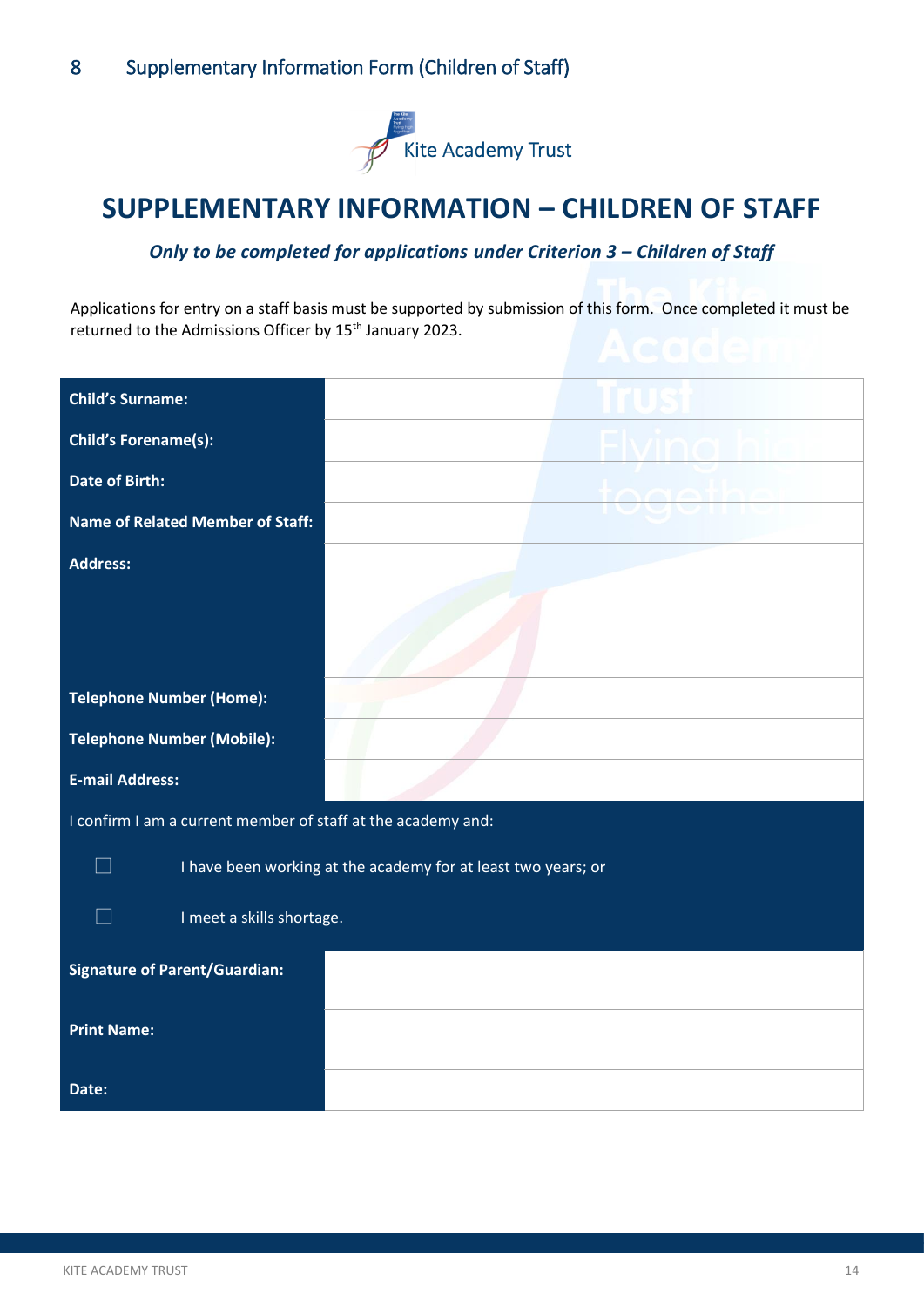

# <span id="page-16-0"></span>**SUPPLEMENTARY INFORMATION – CHILDREN OF STAFF**

### **Only to be completed for applications under Criterion 3 – Children of Staff**

Applications for entry on a staff basis must be supported by submission of this form. Once completed it must be returned to the Admissions Officer by 15<sup>th</sup> January 2023.

| <b>Child's Surname:</b>                                       |  |  |
|---------------------------------------------------------------|--|--|
| <b>Child's Forename(s):</b>                                   |  |  |
| <b>Date of Birth:</b>                                         |  |  |
| <b>Name of Related Member of Staff:</b>                       |  |  |
| <b>Address:</b>                                               |  |  |
|                                                               |  |  |
|                                                               |  |  |
| <b>Telephone Number (Home):</b>                               |  |  |
| <b>Telephone Number (Mobile):</b>                             |  |  |
| <b>E-mail Address:</b>                                        |  |  |
| I confirm I am a current member of staff at the academy and:  |  |  |
| I have been working at the academy for at least two years; or |  |  |
| I meet a skills shortage.                                     |  |  |
| <b>Signature of Parent/Guardian:</b>                          |  |  |
| <b>Print Name:</b>                                            |  |  |
| Date:                                                         |  |  |